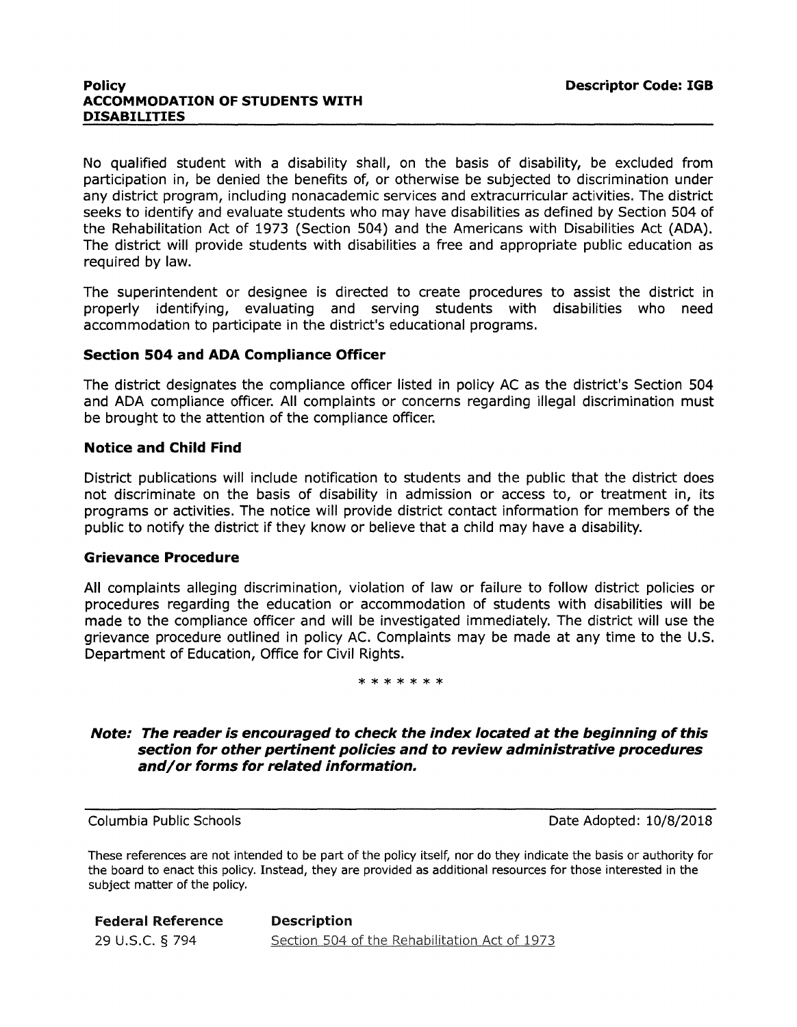No qualified student with a disability shall, on the basis of disability, be excluded from participation in, be denied the benefits of, or otherwise be subjected to discrimination under any district program, including nonacademic services and extracurricular activities. The district seeks to identify and evaluate students who may have disabilities as defined by Section 504 of the Rehabilitation Act of 1973 (Section 504) and the Americans with Disabilities Act (ADA). The district will provide students with disabilities a free and appropriate public education as required by law.

The superintendent or designee is directed to create procedures to assist the district in properly identifying, evaluating and serving students with disabilities who need accommodation to participate in the district's educational programs.

# **Section 504 and ADA Compliance Officer**

The district designates the compliance officer listed in policy AC as the district's Section 504 and ADA compliance officer. All complaints or concerns regarding illegal discrimination must be brought to the attention of the compliance officer.

# **Notice and Child Find**

District publications will include notification to students and the public that the district does not discriminate on the basis of disability in admission or access to, or treatment in, its programs or activities. The notice will provide district contact information for members of the public to notify the district if they know or believe that a child may have a disability.

#### **Grievance Procedure**

All complaints alleging discrimination, violation of law or failure to follow district policies or procedures regarding the education or accommodation of students with disabilities will be made to the compliance officer and will be investigated immediately. The district will use the grievance procedure outlined in policy AC. Complaints may be made at any time to the U.S. Department of Education, Office for Civil Rights.

### \*\*\*\*\*\*\*

# **Note: The reader is encouraged to check the index located at the beginning of this section for other pertinent policies and to review administrative procedures and/or forms for related information.**

Columbia Public Schools Date Adopted: 10/8/2018

These references are not intended to be part of the policy itself, nor do they indicate the basis or authority for the board to enact this policy. Instead, they are provided as additional resources for those interested in the subject matter of the policy.

Federal Reference Description 29 u.s.c. § 794 Section 504 of the Rehabilitation Act of 1973